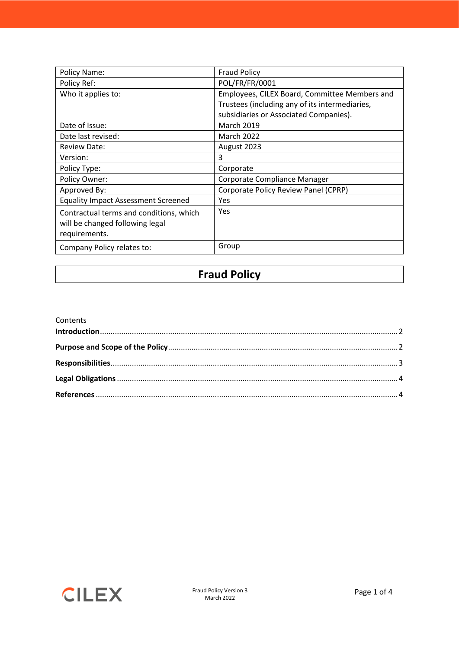| Policy Name:                                                                                | <b>Fraud Policy</b>                            |
|---------------------------------------------------------------------------------------------|------------------------------------------------|
| Policy Ref:                                                                                 | POL/FR/FR/0001                                 |
| Who it applies to:                                                                          | Employees, CILEX Board, Committee Members and  |
|                                                                                             | Trustees (including any of its intermediaries, |
|                                                                                             | subsidiaries or Associated Companies).         |
| Date of Issue:                                                                              | <b>March 2019</b>                              |
| Date last revised:                                                                          | <b>March 2022</b>                              |
| <b>Review Date:</b>                                                                         | August 2023                                    |
| Version:                                                                                    | 3                                              |
| Policy Type:                                                                                | Corporate                                      |
| Policy Owner:                                                                               | Corporate Compliance Manager                   |
| Approved By:                                                                                | Corporate Policy Review Panel (CPRP)           |
| <b>Equality Impact Assessment Screened</b>                                                  | Yes                                            |
| Contractual terms and conditions, which<br>will be changed following legal<br>requirements. | Yes                                            |
| Company Policy relates to:                                                                  | Group                                          |

#### **Fraud Policy**

| Contents |  |
|----------|--|
|          |  |
|          |  |
|          |  |
|          |  |
|          |  |

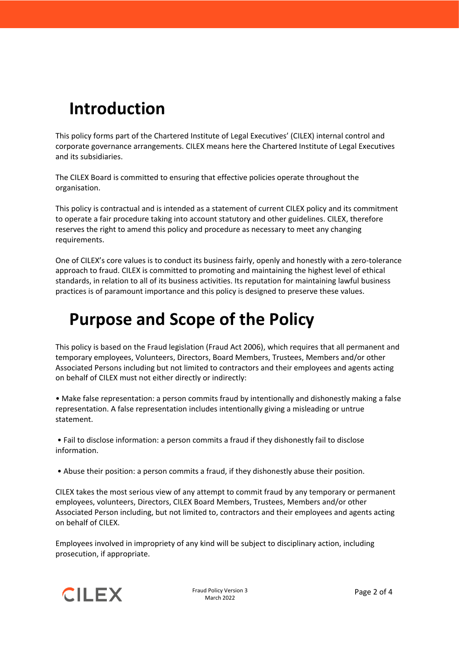# <span id="page-1-0"></span>**Introduction**

This policy forms part of the Chartered Institute of Legal Executives' (CILEX) internal control and corporate governance arrangements. CILEX means here the Chartered Institute of Legal Executives and its subsidiaries.

The CILEX Board is committed to ensuring that effective policies operate throughout the organisation.

This policy is contractual and is intended as a statement of current CILEX policy and its commitment to operate a fair procedure taking into account statutory and other guidelines. CILEX, therefore reserves the right to amend this policy and procedure as necessary to meet any changing requirements.

One of CILEX's core values is to conduct its business fairly, openly and honestly with a zero-tolerance approach to fraud. CILEX is committed to promoting and maintaining the highest level of ethical standards, in relation to all of its business activities. Its reputation for maintaining lawful business practices is of paramount importance and this policy is designed to preserve these values.

#### <span id="page-1-1"></span>**Purpose and Scope of the Policy**

This policy is based on the Fraud legislation (Fraud Act 2006), which requires that all permanent and temporary employees, Volunteers, Directors, Board Members, Trustees, Members and/or other Associated Persons including but not limited to contractors and their employees and agents acting on behalf of CILEX must not either directly or indirectly:

• Make false representation: a person commits fraud by intentionally and dishonestly making a false representation. A false representation includes intentionally giving a misleading or untrue statement.

• Fail to disclose information: a person commits a fraud if they dishonestly fail to disclose information.

• Abuse their position: a person commits a fraud, if they dishonestly abuse their position.

CILEX takes the most serious view of any attempt to commit fraud by any temporary or permanent employees, volunteers, Directors, CILEX Board Members, Trustees, Members and/or other Associated Person including, but not limited to, contractors and their employees and agents acting on behalf of CILEX.

Employees involved in impropriety of any kind will be subject to disciplinary action, including prosecution, if appropriate.

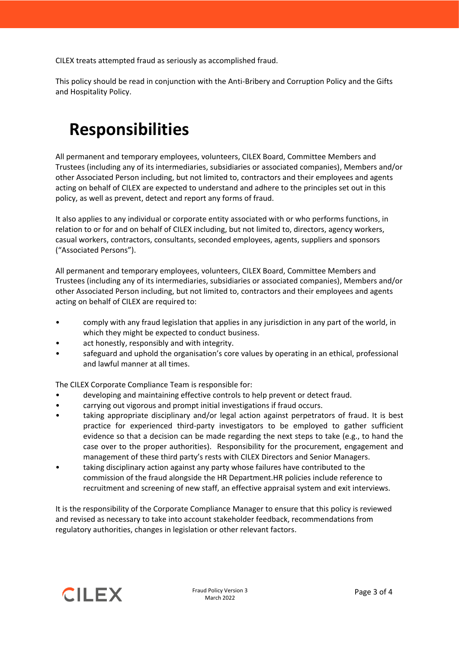CILEX treats attempted fraud as seriously as accomplished fraud.

This policy should be read in conjunction with the Anti-Bribery and Corruption Policy and the Gifts and Hospitality Policy.

### <span id="page-2-0"></span>**Responsibilities**

All permanent and temporary employees, volunteers, CILEX Board, Committee Members and Trustees (including any of its intermediaries, subsidiaries or associated companies), Members and/or other Associated Person including, but not limited to, contractors and their employees and agents acting on behalf of CILEX are expected to understand and adhere to the principles set out in this policy, as well as prevent, detect and report any forms of fraud.

It also applies to any individual or corporate entity associated with or who performs functions, in relation to or for and on behalf of CILEX including, but not limited to, directors, agency workers, casual workers, contractors, consultants, seconded employees, agents, suppliers and sponsors ("Associated Persons").

All permanent and temporary employees, volunteers, CILEX Board, Committee Members and Trustees (including any of its intermediaries, subsidiaries or associated companies), Members and/or other Associated Person including, but not limited to, contractors and their employees and agents acting on behalf of CILEX are required to:

- comply with any fraud legislation that applies in any jurisdiction in any part of the world, in which they might be expected to conduct business.
- act honestly, responsibly and with integrity.
- safeguard and uphold the organisation's core values by operating in an ethical, professional and lawful manner at all times.

The CILEX Corporate Compliance Team is responsible for:

- developing and maintaining effective controls to help prevent or detect fraud.
- carrying out vigorous and prompt initial investigations if fraud occurs.
- taking appropriate disciplinary and/or legal action against perpetrators of fraud. It is best practice for experienced third-party investigators to be employed to gather sufficient evidence so that a decision can be made regarding the next steps to take (e.g., to hand the case over to the proper authorities). Responsibility for the procurement, engagement and management of these third party's rests with CILEX Directors and Senior Managers.
- taking disciplinary action against any party whose failures have contributed to the commission of the fraud alongside the HR Department.HR policies include reference to recruitment and screening of new staff, an effective appraisal system and exit interviews.

It is the responsibility of the Corporate Compliance Manager to ensure that this policy is reviewed and revised as necessary to take into account stakeholder feedback, recommendations from regulatory authorities, changes in legislation or other relevant factors.